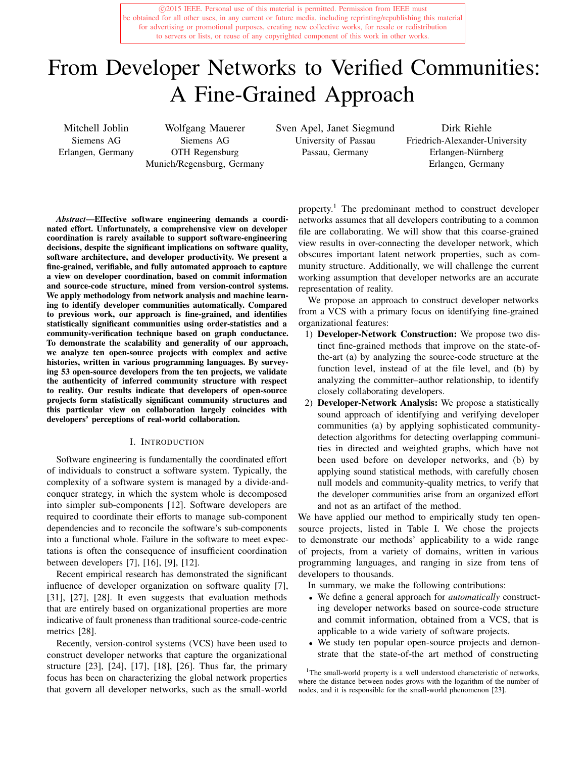c 2015 IEEE. Personal use of this material is permitted. Permission from IEEE must be obtained for all other uses, in any current or future media, including reprinting/republishing this material for advertising or promotional purposes, creating new collective works, for resale or redistribution to servers or lists, or reuse of any copyrighted component of this work in other works.

# From Developer Networks to Verified Communities: A Fine-Grained Approach

Mitchell Joblin Siemens AG Erlangen, Germany

Wolfgang Mauerer Siemens AG OTH Regensburg Munich/Regensburg, Germany Sven Apel, Janet Siegmund University of Passau Passau, Germany

Dirk Riehle Friedrich-Alexander-University Erlangen-Nürnberg Erlangen, Germany

*Abstract*—Effective software engineering demands a coordinated effort. Unfortunately, a comprehensive view on developer coordination is rarely available to support software-engineering decisions, despite the significant implications on software quality, software architecture, and developer productivity. We present a fine-grained, verifiable, and fully automated approach to capture a view on developer coordination, based on commit information and source-code structure, mined from version-control systems. We apply methodology from network analysis and machine learning to identify developer communities automatically. Compared to previous work, our approach is fine-grained, and identifies statistically significant communities using order-statistics and a community-verification technique based on graph conductance. To demonstrate the scalability and generality of our approach, we analyze ten open-source projects with complex and active histories, written in various programming languages. By surveying 53 open-source developers from the ten projects, we validate the authenticity of inferred community structure with respect to reality. Our results indicate that developers of open-source projects form statistically significant community structures and this particular view on collaboration largely coincides with developers' perceptions of real-world collaboration.

#### I. INTRODUCTION

Software engineering is fundamentally the coordinated effort of individuals to construct a software system. Typically, the complexity of a software system is managed by a divide-andconquer strategy, in which the system whole is decomposed into simpler sub-components [12]. Software developers are required to coordinate their efforts to manage sub-component dependencies and to reconcile the software's sub-components into a functional whole. Failure in the software to meet expectations is often the consequence of insufficient coordination between developers [7], [16], [9], [12].

Recent empirical research has demonstrated the significant influence of developer organization on software quality [7], [31], [27], [28]. It even suggests that evaluation methods that are entirely based on organizational properties are more indicative of fault proneness than traditional source-code-centric metrics [28].

Recently, version-control systems (VCS) have been used to construct developer networks that capture the organizational structure [23], [24], [17], [18], [26]. Thus far, the primary focus has been on characterizing the global network properties that govern all developer networks, such as the small-world property.<sup>1</sup> The predominant method to construct developer networks assumes that all developers contributing to a common file are collaborating. We will show that this coarse-grained view results in over-connecting the developer network, which obscures important latent network properties, such as community structure. Additionally, we will challenge the current working assumption that developer networks are an accurate representation of reality.

We propose an approach to construct developer networks from a VCS with a primary focus on identifying fine-grained organizational features:

- 1) Developer-Network Construction: We propose two distinct fine-grained methods that improve on the state-ofthe-art (a) by analyzing the source-code structure at the function level, instead of at the file level, and (b) by analyzing the committer–author relationship, to identify closely collaborating developers.
- 2) Developer-Network Analysis: We propose a statistically sound approach of identifying and verifying developer communities (a) by applying sophisticated communitydetection algorithms for detecting overlapping communities in directed and weighted graphs, which have not been used before on developer networks, and (b) by applying sound statistical methods, with carefully chosen null models and community-quality metrics, to verify that the developer communities arise from an organized effort and not as an artifact of the method.

We have applied our method to empirically study ten opensource projects, listed in Table I. We chose the projects to demonstrate our methods' applicability to a wide range of projects, from a variety of domains, written in various programming languages, and ranging in size from tens of developers to thousands.

In summary, we make the following contributions:

- We define a general approach for *automatically* constructing developer networks based on source-code structure and commit information, obtained from a VCS, that is applicable to a wide variety of software projects.
- We study ten popular open-source projects and demonstrate that the state-of-the art method of constructing

<sup>&</sup>lt;sup>1</sup>The small-world property is a well understood characteristic of networks, where the distance between nodes grows with the logarithm of the number of nodes, and it is responsible for the small-world phenomenon [23].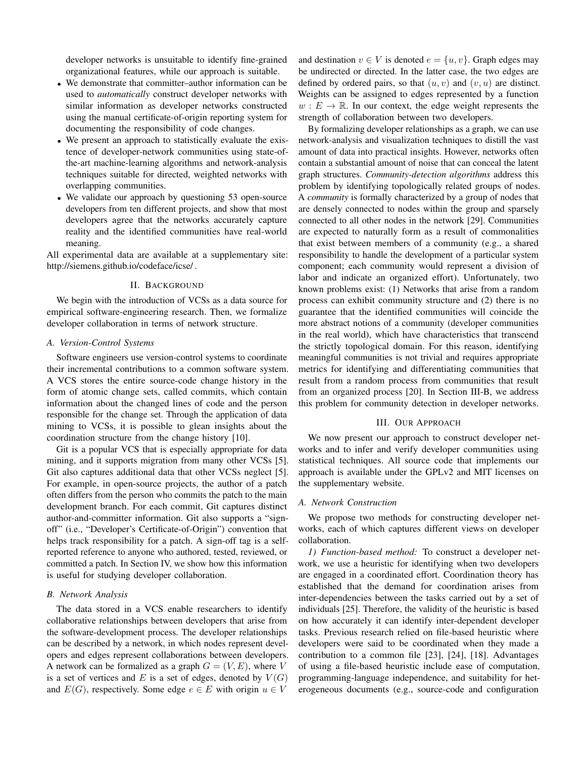developer networks is unsuitable to identify fine-grained organizational features, while our approach is suitable.

- We demonstrate that committer–author information can be used to *automatically* construct developer networks with similar information as developer networks constructed using the manual certificate-of-origin reporting system for documenting the responsibility of code changes.
- We present an approach to statistically evaluate the existence of developer-network communities using state-ofthe-art machine-learning algorithms and network-analysis techniques suitable for directed, weighted networks with overlapping communities.
- We validate our approach by questioning 53 open-source developers from ten different projects, and show that most developers agree that the networks accurately capture reality and the identified communities have real-world meaning.

All experimental data are available at a supplementary site: http://siemens.github.io/codeface/icse/ .

#### II. BACKGROUND

We begin with the introduction of VCSs as a data source for empirical software-engineering research. Then, we formalize developer collaboration in terms of network structure.

#### *A. Version-Control Systems*

Software engineers use version-control systems to coordinate their incremental contributions to a common software system. A VCS stores the entire source-code change history in the form of atomic change sets, called commits, which contain information about the changed lines of code and the person responsible for the change set. Through the application of data mining to VCSs, it is possible to glean insights about the coordination structure from the change history [10].

Git is a popular VCS that is especially appropriate for data mining, and it supports migration from many other VCSs [5]. Git also captures additional data that other VCSs neglect [5]. For example, in open-source projects, the author of a patch often differs from the person who commits the patch to the main development branch. For each commit, Git captures distinct author-and-committer information. Git also supports a "signoff" (i.e., "Developer's Certificate-of-Origin") convention that helps track responsibility for a patch. A sign-off tag is a selfreported reference to anyone who authored, tested, reviewed, or committed a patch. In Section IV, we show how this information is useful for studying developer collaboration.

## *B. Network Analysis*

The data stored in a VCS enable researchers to identify collaborative relationships between developers that arise from the software-development process. The developer relationships can be described by a network, in which nodes represent developers and edges represent collaborations between developers. A network can be formalized as a graph  $G = (V, E)$ , where V is a set of vertices and  $E$  is a set of edges, denoted by  $V(G)$ and  $E(G)$ , respectively. Some edge  $e \in E$  with origin  $u \in V$ 

and destination  $v \in V$  is denoted  $e = \{u, v\}$ . Graph edges may be undirected or directed. In the latter case, the two edges are defined by ordered pairs, so that  $(u, v)$  and  $(v, u)$  are distinct. Weights can be assigned to edges represented by a function  $w : E \to \mathbb{R}$ . In our context, the edge weight represents the strength of collaboration between two developers.

By formalizing developer relationships as a graph, we can use network-analysis and visualization techniques to distill the vast amount of data into practical insights. However, networks often contain a substantial amount of noise that can conceal the latent graph structures. *Community-detection algorithms* address this problem by identifying topologically related groups of nodes. A *community* is formally characterized by a group of nodes that are densely connected to nodes within the group and sparsely connected to all other nodes in the network [29]. Communities are expected to naturally form as a result of commonalities that exist between members of a community (e.g., a shared responsibility to handle the development of a particular system component; each community would represent a division of labor and indicate an organized effort). Unfortunately, two known problems exist: (1) Networks that arise from a random process can exhibit community structure and (2) there is no guarantee that the identified communities will coincide the more abstract notions of a community (developer communities in the real world), which have characteristics that transcend the strictly topological domain. For this reason, identifying meaningful communities is not trivial and requires appropriate metrics for identifying and differentiating communities that result from a random process from communities that result from an organized process [20]. In Section III-B, we address this problem for community detection in developer networks.

#### III. OUR APPROACH

We now present our approach to construct developer networks and to infer and verify developer communities using statistical techniques. All source code that implements our approach is available under the GPLv2 and MIT licenses on the supplementary website.

#### *A. Network Construction*

We propose two methods for constructing developer networks, each of which captures different views on developer collaboration.

*1) Function-based method:* To construct a developer network, we use a heuristic for identifying when two developers are engaged in a coordinated effort. Coordination theory has established that the demand for coordination arises from inter-dependencies between the tasks carried out by a set of individuals [25]. Therefore, the validity of the heuristic is based on how accurately it can identify inter-dependent developer tasks. Previous research relied on file-based heuristic where developers were said to be coordinated when they made a contribution to a common file [23], [24], [18]. Advantages of using a file-based heuristic include ease of computation, programming-language independence, and suitability for heterogeneous documents (e.g., source-code and configuration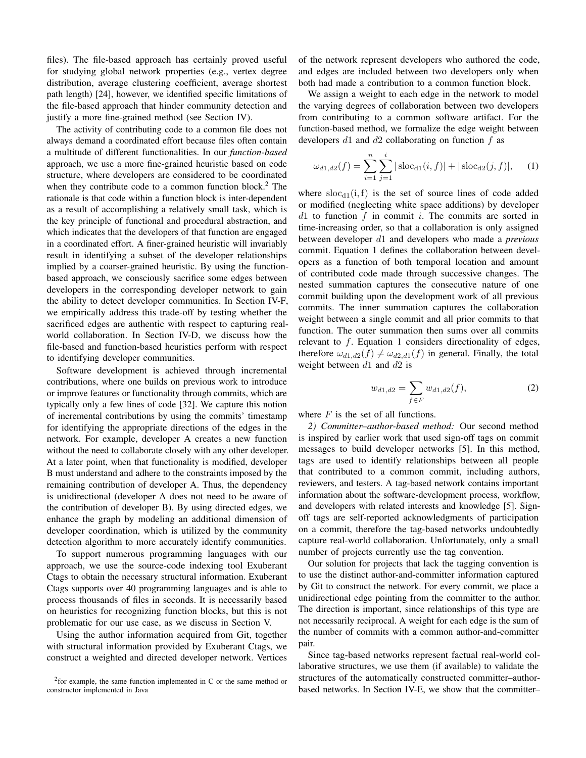files). The file-based approach has certainly proved useful for studying global network properties (e.g., vertex degree distribution, average clustering coefficient, average shortest path length) [24], however, we identified specific limitations of the file-based approach that hinder community detection and justify a more fine-grained method (see Section IV).

The activity of contributing code to a common file does not always demand a coordinated effort because files often contain a multitude of different functionalities. In our *function-based* approach, we use a more fine-grained heuristic based on code structure, where developers are considered to be coordinated when they contribute code to a common function block.<sup>2</sup> The rationale is that code within a function block is inter-dependent as a result of accomplishing a relatively small task, which is the key principle of functional and procedural abstraction, and which indicates that the developers of that function are engaged in a coordinated effort. A finer-grained heuristic will invariably result in identifying a subset of the developer relationships implied by a coarser-grained heuristic. By using the functionbased approach, we consciously sacrifice some edges between developers in the corresponding developer network to gain the ability to detect developer communities. In Section IV-F, we empirically address this trade-off by testing whether the sacrificed edges are authentic with respect to capturing realworld collaboration. In Section IV-D, we discuss how the file-based and function-based heuristics perform with respect to identifying developer communities.

Software development is achieved through incremental contributions, where one builds on previous work to introduce or improve features or functionality through commits, which are typically only a few lines of code [32]. We capture this notion of incremental contributions by using the commits' timestamp for identifying the appropriate directions of the edges in the network. For example, developer A creates a new function without the need to collaborate closely with any other developer. At a later point, when that functionality is modified, developer B must understand and adhere to the constraints imposed by the remaining contribution of developer A. Thus, the dependency is unidirectional (developer A does not need to be aware of the contribution of developer B). By using directed edges, we enhance the graph by modeling an additional dimension of developer coordination, which is utilized by the community detection algorithm to more accurately identify communities.

To support numerous programming languages with our approach, we use the source-code indexing tool Exuberant Ctags to obtain the necessary structural information. Exuberant Ctags supports over 40 programming languages and is able to process thousands of files in seconds. It is necessarily based on heuristics for recognizing function blocks, but this is not problematic for our use case, as we discuss in Section V.

Using the author information acquired from Git, together with structural information provided by Exuberant Ctags, we construct a weighted and directed developer network. Vertices of the network represent developers who authored the code, and edges are included between two developers only when both had made a contribution to a common function block.

We assign a weight to each edge in the network to model the varying degrees of collaboration between two developers from contributing to a common software artifact. For the function-based method, we formalize the edge weight between developers  $d1$  and  $d2$  collaborating on function  $f$  as

$$
\omega_{d1,d2}(f) = \sum_{i=1}^{n} \sum_{j=1}^{i} | \text{sloc}_{d1}(i, f) | + | \text{sloc}_{d2}(j, f) |, \quad (1)
$$

where  $sloc_{d1}(i, f)$  is the set of source lines of code added or modified (neglecting white space additions) by developer  $d1$  to function f in commit i. The commits are sorted in time-increasing order, so that a collaboration is only assigned between developer d1 and developers who made a *previous* commit. Equation 1 defines the collaboration between developers as a function of both temporal location and amount of contributed code made through successive changes. The nested summation captures the consecutive nature of one commit building upon the development work of all previous commits. The inner summation captures the collaboration weight between a single commit and all prior commits to that function. The outer summation then sums over all commits relevant to f. Equation 1 considers directionality of edges, therefore  $\omega_{d1,d2}(f) \neq \omega_{d2,d1}(f)$  in general. Finally, the total weight between  $d1$  and  $d2$  is

$$
w_{d1,d2} = \sum_{f \in F} w_{d1,d2}(f),\tag{2}
$$

where  $F$  is the set of all functions.

*2) Committer–author-based method:* Our second method is inspired by earlier work that used sign-off tags on commit messages to build developer networks [5]. In this method, tags are used to identify relationships between all people that contributed to a common commit, including authors, reviewers, and testers. A tag-based network contains important information about the software-development process, workflow, and developers with related interests and knowledge [5]. Signoff tags are self-reported acknowledgments of participation on a commit, therefore the tag-based networks undoubtedly capture real-world collaboration. Unfortunately, only a small number of projects currently use the tag convention.

Our solution for projects that lack the tagging convention is to use the distinct author-and-committer information captured by Git to construct the network. For every commit, we place a unidirectional edge pointing from the committer to the author. The direction is important, since relationships of this type are not necessarily reciprocal. A weight for each edge is the sum of the number of commits with a common author-and-committer pair.

Since tag-based networks represent factual real-world collaborative structures, we use them (if available) to validate the structures of the automatically constructed committer–authorbased networks. In Section IV-E, we show that the committer–

<sup>&</sup>lt;sup>2</sup>for example, the same function implemented in C or the same method or constructor implemented in Java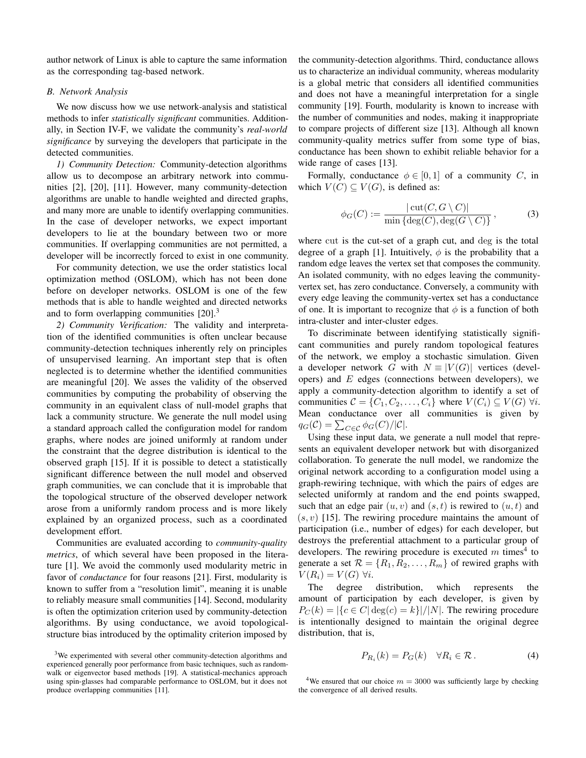author network of Linux is able to capture the same information as the corresponding tag-based network.

#### *B. Network Analysis*

We now discuss how we use network-analysis and statistical methods to infer *statistically significant* communities. Additionally, in Section IV-F, we validate the community's *real-world significance* by surveying the developers that participate in the detected communities.

*1) Community Detection:* Community-detection algorithms allow us to decompose an arbitrary network into communities [2], [20], [11]. However, many community-detection algorithms are unable to handle weighted and directed graphs, and many more are unable to identify overlapping communities. In the case of developer networks, we expect important developers to lie at the boundary between two or more communities. If overlapping communities are not permitted, a developer will be incorrectly forced to exist in one community.

For community detection, we use the order statistics local optimization method (OSLOM), which has not been done before on developer networks. OSLOM is one of the few methods that is able to handle weighted and directed networks and to form overlapping communities  $[20]$ <sup>3</sup>

*2) Community Verification:* The validity and interpretation of the identified communities is often unclear because community-detection techniques inherently rely on principles of unsupervised learning. An important step that is often neglected is to determine whether the identified communities are meaningful [20]. We asses the validity of the observed communities by computing the probability of observing the community in an equivalent class of null-model graphs that lack a community structure. We generate the null model using a standard approach called the configuration model for random graphs, where nodes are joined uniformly at random under the constraint that the degree distribution is identical to the observed graph [15]. If it is possible to detect a statistically significant difference between the null model and observed graph communities, we can conclude that it is improbable that the topological structure of the observed developer network arose from a uniformly random process and is more likely explained by an organized process, such as a coordinated development effort.

Communities are evaluated according to *community-quality metrics*, of which several have been proposed in the literature [1]. We avoid the commonly used modularity metric in favor of *conductance* for four reasons [21]. First, modularity is known to suffer from a "resolution limit", meaning it is unable to reliably measure small communities [14]. Second, modularity is often the optimization criterion used by community-detection algorithms. By using conductance, we avoid topologicalstructure bias introduced by the optimality criterion imposed by

the community-detection algorithms. Third, conductance allows us to characterize an individual community, whereas modularity is a global metric that considers all identified communities and does not have a meaningful interpretation for a single community [19]. Fourth, modularity is known to increase with the number of communities and nodes, making it inappropriate to compare projects of different size [13]. Although all known community-quality metrics suffer from some type of bias, conductance has been shown to exhibit reliable behavior for a wide range of cases [13].

Formally, conductance  $\phi \in [0, 1]$  of a community C, in which  $V(C) \subseteq V(G)$ , is defined as:

$$
\phi_G(C) := \frac{|\text{cut}(C, G \setminus C)|}{\min{\{ \text{deg}(C), \text{deg}(G \setminus C) \}}},\tag{3}
$$

where cut is the cut-set of a graph cut, and deg is the total degree of a graph [1]. Intuitively,  $\phi$  is the probability that a random edge leaves the vertex set that composes the community. An isolated community, with no edges leaving the communityvertex set, has zero conductance. Conversely, a community with every edge leaving the community-vertex set has a conductance of one. It is important to recognize that  $\phi$  is a function of both intra-cluster and inter-cluster edges.

To discriminate between identifying statistically significant communities and purely random topological features of the network, we employ a stochastic simulation. Given a developer network G with  $N \equiv |V(G)|$  vertices (developers) and  $E$  edges (connections between developers), we apply a community-detection algorithm to identify a set of communities  $C = \{C_1, C_2, \ldots, C_i\}$  where  $V(C_i) \subseteq V(G)$   $\forall i$ . Mean conductance over all communities is given by  $q_G(\mathcal{C}) = \sum_{C \in \mathcal{C}} \phi_G(C)/|\mathcal{C}|.$ 

Using these input data, we generate a null model that represents an equivalent developer network but with disorganized collaboration. To generate the null model, we randomize the original network according to a configuration model using a graph-rewiring technique, with which the pairs of edges are selected uniformly at random and the end points swapped, such that an edge pair  $(u, v)$  and  $(s, t)$  is rewired to  $(u, t)$  and  $(s, v)$  [15]. The rewiring procedure maintains the amount of participation (i.e., number of edges) for each developer, but destroys the preferential attachment to a particular group of developers. The rewiring procedure is executed  $m$  times<sup>4</sup> to generate a set  $\mathcal{R} = \{R_1, R_2, \dots, R_m\}$  of rewired graphs with  $V(R_i) = V(G)$   $\forall i$ .

The degree distribution, which represents the amount of participation by each developer, is given by  $P_C(k) = |\{c \in C | \deg(c) = k\}|/|N|$ . The rewiring procedure is intentionally designed to maintain the original degree distribution, that is,

$$
P_{R_i}(k) = P_G(k) \quad \forall R_i \in \mathcal{R} \,.
$$
 (4)

 $3$ We experimented with several other community-detection algorithms and experienced generally poor performance from basic techniques, such as randomwalk or eigenvector based methods [19]. A statistical-mechanics approach using spin-glasses had comparable performance to OSLOM, but it does not produce overlapping communities [11].

<sup>&</sup>lt;sup>4</sup>We ensured that our choice  $m = 3000$  was sufficiently large by checking the convergence of all derived results.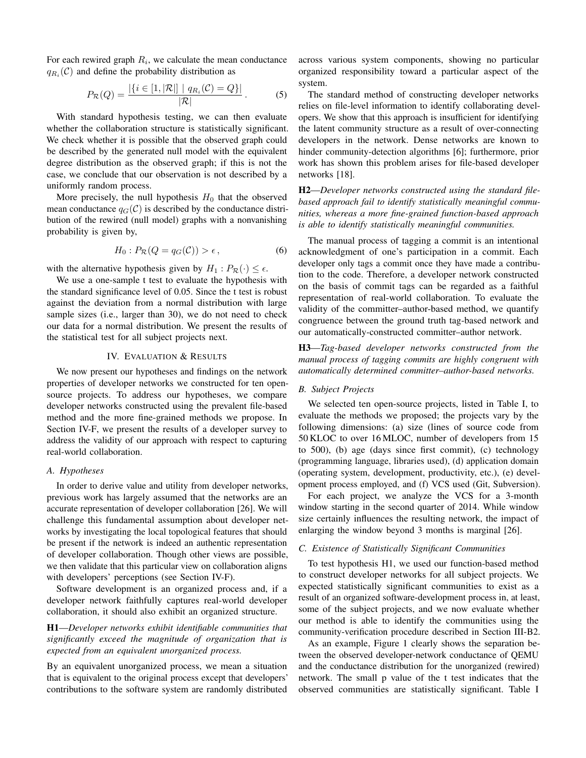For each rewired graph  $R_i$ , we calculate the mean conductance  $q_{R_i}(\mathcal{C})$  and define the probability distribution as

$$
P_{\mathcal{R}}(Q) = \frac{|\{i \in [1, |\mathcal{R}|] \mid q_{R_i}(\mathcal{C}) = Q\}|}{|\mathcal{R}|}.
$$
 (5)

With standard hypothesis testing, we can then evaluate whether the collaboration structure is statistically significant. We check whether it is possible that the observed graph could be described by the generated null model with the equivalent degree distribution as the observed graph; if this is not the case, we conclude that our observation is not described by a uniformly random process.

More precisely, the null hypothesis  $H_0$  that the observed mean conductance  $q_G(\mathcal{C})$  is described by the conductance distribution of the rewired (null model) graphs with a nonvanishing probability is given by,

$$
H_0: P_{\mathcal{R}}(Q = q_G(\mathcal{C})) > \epsilon, \qquad (6)
$$

with the alternative hypothesis given by  $H_1: P_{\mathcal{R}}(\cdot) \leq \epsilon$ .

We use a one-sample t test to evaluate the hypothesis with the standard significance level of 0.05. Since the t test is robust against the deviation from a normal distribution with large sample sizes (i.e., larger than 30), we do not need to check our data for a normal distribution. We present the results of the statistical test for all subject projects next.

#### IV. EVALUATION & RESULTS

We now present our hypotheses and findings on the network properties of developer networks we constructed for ten opensource projects. To address our hypotheses, we compare developer networks constructed using the prevalent file-based method and the more fine-grained methods we propose. In Section IV-F, we present the results of a developer survey to address the validity of our approach with respect to capturing real-world collaboration.

## *A. Hypotheses*

In order to derive value and utility from developer networks, previous work has largely assumed that the networks are an accurate representation of developer collaboration [26]. We will challenge this fundamental assumption about developer networks by investigating the local topological features that should be present if the network is indeed an authentic representation of developer collaboration. Though other views are possible, we then validate that this particular view on collaboration aligns with developers' perceptions (see Section IV-F).

Software development is an organized process and, if a developer network faithfully captures real-world developer collaboration, it should also exhibit an organized structure.

# H1—*Developer networks exhibit identifiable communities that significantly exceed the magnitude of organization that is expected from an equivalent unorganized process.*

By an equivalent unorganized process, we mean a situation that is equivalent to the original process except that developers' contributions to the software system are randomly distributed across various system components, showing no particular organized responsibility toward a particular aspect of the system.

The standard method of constructing developer networks relies on file-level information to identify collaborating developers. We show that this approach is insufficient for identifying the latent community structure as a result of over-connecting developers in the network. Dense networks are known to hinder community-detection algorithms [6]; furthermore, prior work has shown this problem arises for file-based developer networks [18].

H2—*Developer networks constructed using the standard filebased approach fail to identify statistically meaningful communities, whereas a more fine-grained function-based approach is able to identify statistically meaningful communities.*

The manual process of tagging a commit is an intentional acknowledgment of one's participation in a commit. Each developer only tags a commit once they have made a contribution to the code. Therefore, a developer network constructed on the basis of commit tags can be regarded as a faithful representation of real-world collaboration. To evaluate the validity of the committer–author-based method, we quantify congruence between the ground truth tag-based network and our automatically-constructed committer–author network.

H3—*Tag-based developer networks constructed from the manual process of tagging commits are highly congruent with automatically determined committer–author-based networks.*

#### *B. Subject Projects*

We selected ten open-source projects, listed in Table I, to evaluate the methods we proposed; the projects vary by the following dimensions: (a) size (lines of source code from 50 KLOC to over 16 MLOC, number of developers from 15 to 500), (b) age (days since first commit), (c) technology (programming language, libraries used), (d) application domain (operating system, development, productivity, etc.), (e) development process employed, and (f) VCS used (Git, Subversion).

For each project, we analyze the VCS for a 3-month window starting in the second quarter of 2014. While window size certainly influences the resulting network, the impact of enlarging the window beyond 3 months is marginal [26].

#### *C. Existence of Statistically Significant Communities*

To test hypothesis H1, we used our function-based method to construct developer networks for all subject projects. We expected statistically significant communities to exist as a result of an organized software-development process in, at least, some of the subject projects, and we now evaluate whether our method is able to identify the communities using the community-verification procedure described in Section III-B2.

As an example, Figure 1 clearly shows the separation between the observed developer-network conductance of QEMU and the conductance distribution for the unorganized (rewired) network. The small p value of the t test indicates that the observed communities are statistically significant. Table I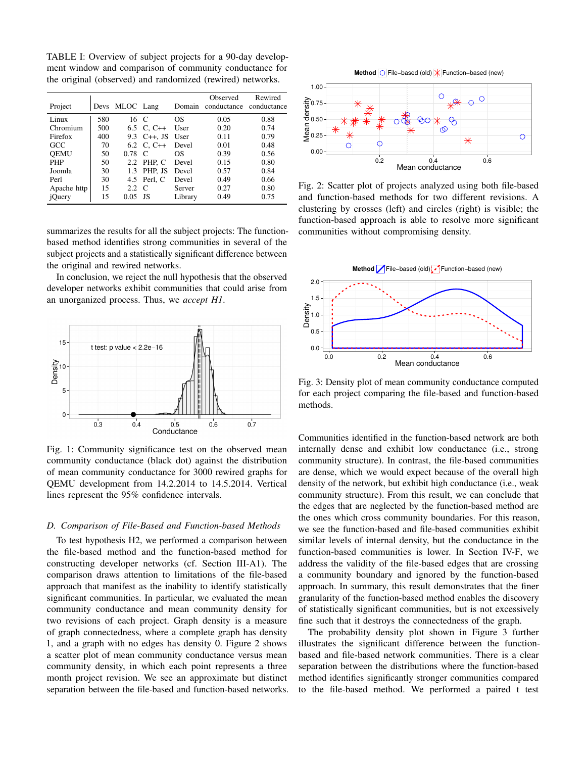TABLE I: Overview of subject projects for a 90-day development window and comparison of community conductance for the original (observed) and randomized (rewired) networks.

| Project     |     | Devs MLOC Lang |                     |         | Observed<br>Domain conductance conductance | Rewired |
|-------------|-----|----------------|---------------------|---------|--------------------------------------------|---------|
| Linux       | 580 | 16 C           |                     | OS      | 0.05                                       | 0.88    |
| Chromium    | 500 |                | $6.5$ C, C++        | User    | 0.20                                       | 0.74    |
| Firefox     | 400 |                | 9.3 $C++$ , JS User |         | 0.11                                       | 0.79    |
| GCC         | 70  |                | 6.2 C, $C_{++}$     | Devel   | 0.01                                       | 0.48    |
| <b>OEMU</b> | 50  | 0.78           | $\mathcal{C}$       | OS      | 0.39                                       | 0.56    |
| <b>PHP</b>  | 50  |                | 2.2 PHP. C          | Devel   | 0.15                                       | 0.80    |
| Joomla      | 30  | 1.3            | PHP, JS             | Devel   | 0.57                                       | 0.84    |
| Perl        | 30  |                | 4.5 Perl, C         | Devel   | 0.49                                       | 0.66    |
| Apache http | 15  | 2.2.           | $\mathcal{C}$       | Server  | 0.27                                       | 0.80    |
| iOuery      | 15  | 0.05           | JS.                 | Library | 0.49                                       | 0.75    |

summarizes the results for all the subject projects: The functionbased method identifies strong communities in several of the subject projects and a statistically significant difference between the original and rewired networks.

In conclusion, we reject the null hypothesis that the observed developer networks exhibit communities that could arise from an unorganized process. Thus, we *accept H1*.



Fig. 1: Community significance test on the observed mean community conductance (black dot) against the distribution of mean community conductance for 3000 rewired graphs for QEMU development from 14.2.2014 to 14.5.2014. Vertical lines represent the 95% confidence intervals.

### *D. Comparison of File-Based and Function-based Methods*

To test hypothesis H2, we performed a comparison between the file-based method and the function-based method for constructing developer networks (cf. Section III-A1). The comparison draws attention to limitations of the file-based approach that manifest as the inability to identify statistically significant communities. In particular, we evaluated the mean community conductance and mean community density for two revisions of each project. Graph density is a measure of graph connectedness, where a complete graph has density 1, and a graph with no edges has density 0. Figure 2 shows a scatter plot of mean community conductance versus mean community density, in which each point represents a three month project revision. We see an approximate but distinct separation between the file-based and function-based networks.





Fig. 2: Scatter plot of projects analyzed using both file-based and function-based methods for two different revisions. A clustering by crosses (left) and circles (right) is visible; the function-based approach is able to resolve more significant communities without compromising density.



Fig. 3: Density plot of mean community conductance computed for each project comparing the file-based and function-based methods.

Communities identified in the function-based network are both internally dense and exhibit low conductance (i.e., strong community structure). In contrast, the file-based communities are dense, which we would expect because of the overall high density of the network, but exhibit high conductance (i.e., weak community structure). From this result, we can conclude that the edges that are neglected by the function-based method are the ones which cross community boundaries. For this reason, we see the function-based and file-based communities exhibit similar levels of internal density, but the conductance in the function-based communities is lower. In Section IV-F, we address the validity of the file-based edges that are crossing a community boundary and ignored by the function-based approach. In summary, this result demonstrates that the finer granularity of the function-based method enables the discovery of statistically significant communities, but is not excessively fine such that it destroys the connectedness of the graph.

The probability density plot shown in Figure 3 further illustrates the significant difference between the functionbased and file-based network communities. There is a clear separation between the distributions where the function-based method identifies significantly stronger communities compared to the file-based method. We performed a paired t test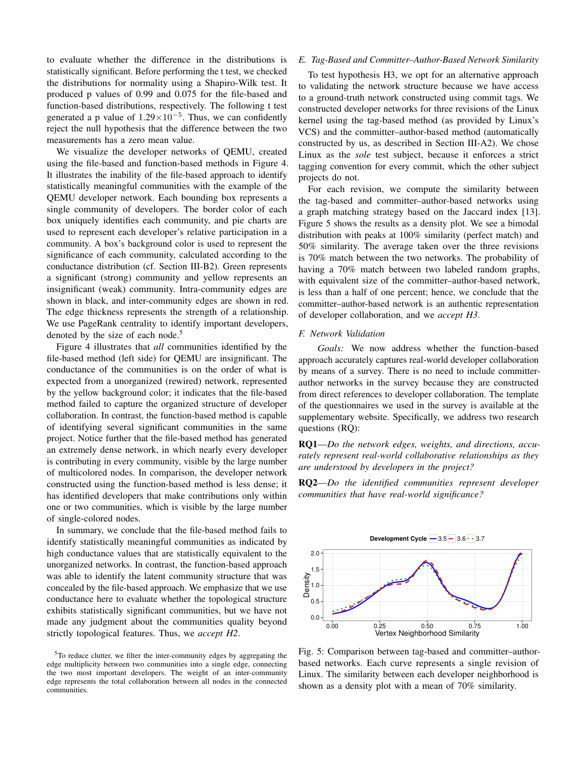to evaluate whether the difference in the distributions is statistically significant. Before performing the t test, we checked the distributions for normality using a Shapiro-Wilk test. It produced p values of 0.99 and 0.075 for the file-based and function-based distributions, respectively. The following t test generated a p value of  $1.29 \times 10^{-5}$ . Thus, we can confidently reject the null hypothesis that the difference between the two measurements has a zero mean value.

We visualize the developer networks of QEMU, created using the file-based and function-based methods in Figure 4. It illustrates the inability of the file-based approach to identify statistically meaningful communities with the example of the QEMU developer network. Each bounding box represents a single community of developers. The border color of each box uniquely identifies each community, and pie charts are used to represent each developer's relative participation in a community. A box's background color is used to represent the significance of each community, calculated according to the conductance distribution (cf. Section III-B2). Green represents a significant (strong) community and yellow represents an insignificant (weak) community. Intra-community edges are shown in black, and inter-community edges are shown in red. The edge thickness represents the strength of a relationship. We use PageRank centrality to identify important developers, denoted by the size of each node. $5$ 

Figure 4 illustrates that *all* communities identified by the file-based method (left side) for QEMU are insignificant. The conductance of the communities is on the order of what is expected from a unorganized (rewired) network, represented by the yellow background color; it indicates that the file-based method failed to capture the organized structure of developer collaboration. In contrast, the function-based method is capable of identifying several significant communities in the same project. Notice further that the file-based method has generated an extremely dense network, in which nearly every developer is contributing in every community, visible by the large number of multicolored nodes. In comparison, the developer network constructed using the function-based method is less dense; it has identified developers that make contributions only within one or two communities, which is visible by the large number of single-colored nodes.

In summary, we conclude that the file-based method fails to identify statistically meaningful communities as indicated by high conductance values that are statistically equivalent to the unorganized networks. In contrast, the function-based approach was able to identify the latent community structure that was concealed by the file-based approach. We emphasize that we use conductance here to evaluate whether the topological structure exhibits statistically significant communities, but we have not made any judgment about the communities quality beyond strictly topological features. Thus, we *accept H2*.

#### *E. Tag-Based and Committer–Author-Based Network Similarity*

To test hypothesis H3, we opt for an alternative approach to validating the network structure because we have access to a ground-truth network constructed using commit tags. We constructed developer networks for three revisions of the Linux kernel using the tag-based method (as provided by Linux's VCS) and the committer–author-based method (automatically constructed by us, as described in Section III-A2). We chose Linux as the *sole* test subject, because it enforces a strict tagging convention for every commit, which the other subject projects do not.

For each revision, we compute the similarity between the tag-based and committer–author-based networks using a graph matching strategy based on the Jaccard index [13]. Figure 5 shows the results as a density plot. We see a bimodal distribution with peaks at 100% similarity (perfect match) and 50% similarity. The average taken over the three revisions is 70% match between the two networks. The probability of having a 70% match between two labeled random graphs, with equivalent size of the committer–author-based network, is less than a half of one percent; hence, we conclude that the committer–author-based network is an authentic representation of developer collaboration, and we *accept H3*.

#### *F. Network Validation*

*Goals:* We now address whether the function-based approach accurately captures real-world developer collaboration by means of a survey. There is no need to include committerauthor networks in the survey because they are constructed from direct references to developer collaboration. The template of the questionnaires we used in the survey is available at the supplementary website. Specifically, we address two research questions (RQ):

RQ1—*Do the network edges, weights, and directions, accurately represent real-world collaborative relationships as they are understood by developers in the project?*

RQ2—*Do the identified communities represent developer communities that have real-world significance?*



Fig. 5: Comparison between tag-based and committer–authorbased networks. Each curve represents a single revision of Linux. The similarity between each developer neighborhood is shown as a density plot with a mean of 70% similarity.

<sup>5</sup>To reduce clutter, we filter the inter-community edges by aggregating the edge multiplicity between two communities into a single edge, connecting the two most important developers. The weight of an inter-community edge represents the total collaboration between all nodes in the connected communities.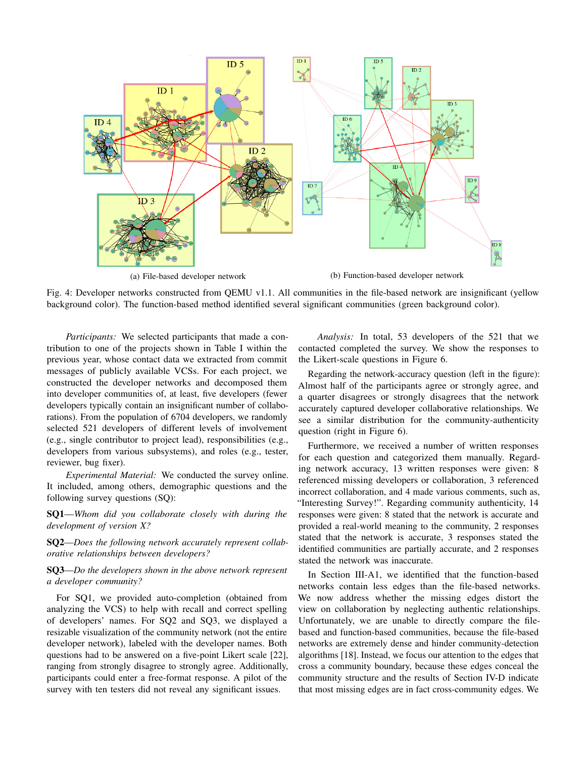

Fig. 4: Developer networks constructed from QEMU v1.1. All communities in the file-based network are insignificant (yellow background color). The function-based method identified several significant communities (green background color).

*Participants:* We selected participants that made a contribution to one of the projects shown in Table I within the previous year, whose contact data we extracted from commit messages of publicly available VCSs. For each project, we constructed the developer networks and decomposed them into developer communities of, at least, five developers (fewer developers typically contain an insignificant number of collaborations). From the population of 6704 developers, we randomly selected 521 developers of different levels of involvement (e.g., single contributor to project lead), responsibilities (e.g., developers from various subsystems), and roles (e.g., tester, reviewer, bug fixer).

*Experimental Material:* We conducted the survey online. It included, among others, demographic questions and the following survey questions (SQ):

SQ1—*Whom did you collaborate closely with during the development of version X?*

SQ2—*Does the following network accurately represent collaborative relationships between developers?*

## SQ3—*Do the developers shown in the above network represent a developer community?*

For SQ1, we provided auto-completion (obtained from analyzing the VCS) to help with recall and correct spelling of developers' names. For SQ2 and SQ3, we displayed a resizable visualization of the community network (not the entire developer network), labeled with the developer names. Both questions had to be answered on a five-point Likert scale [22], ranging from strongly disagree to strongly agree. Additionally, participants could enter a free-format response. A pilot of the survey with ten testers did not reveal any significant issues.

*Analysis:* In total, 53 developers of the 521 that we contacted completed the survey. We show the responses to the Likert-scale questions in Figure 6.

Regarding the network-accuracy question (left in the figure): Almost half of the participants agree or strongly agree, and a quarter disagrees or strongly disagrees that the network accurately captured developer collaborative relationships. We see a similar distribution for the community-authenticity question (right in Figure 6).

Furthermore, we received a number of written responses for each question and categorized them manually. Regarding network accuracy, 13 written responses were given: 8 referenced missing developers or collaboration, 3 referenced incorrect collaboration, and 4 made various comments, such as, "Interesting Survey!". Regarding community authenticity, 14 responses were given: 8 stated that the network is accurate and provided a real-world meaning to the community, 2 responses stated that the network is accurate, 3 responses stated the identified communities are partially accurate, and 2 responses stated the network was inaccurate.

In Section III-A1, we identified that the function-based networks contain less edges than the file-based networks. We now address whether the missing edges distort the view on collaboration by neglecting authentic relationships. Unfortunately, we are unable to directly compare the filebased and function-based communities, because the file-based networks are extremely dense and hinder community-detection algorithms [18]. Instead, we focus our attention to the edges that cross a community boundary, because these edges conceal the community structure and the results of Section IV-D indicate that most missing edges are in fact cross-community edges. We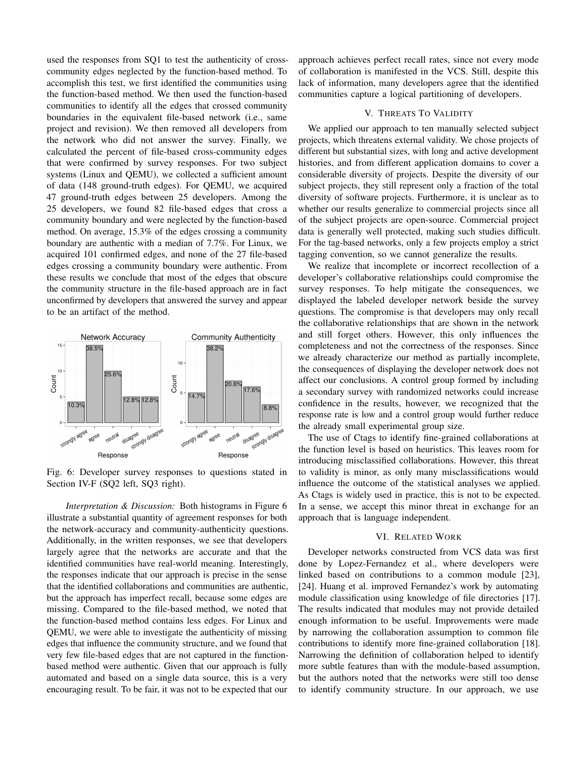used the responses from SQ1 to test the authenticity of crosscommunity edges neglected by the function-based method. To accomplish this test, we first identified the communities using the function-based method. We then used the function-based communities to identify all the edges that crossed community boundaries in the equivalent file-based network (i.e., same project and revision). We then removed all developers from the network who did not answer the survey. Finally, we calculated the percent of file-based cross-community edges that were confirmed by survey responses. For two subject systems (Linux and QEMU), we collected a sufficient amount of data (148 ground-truth edges). For QEMU, we acquired 47 ground-truth edges between 25 developers. Among the 25 developers, we found 82 file-based edges that cross a community boundary and were neglected by the function-based method. On average, 15.3% of the edges crossing a community boundary are authentic with a median of 7.7%. For Linux, we acquired 101 confirmed edges, and none of the 27 file-based edges crossing a community boundary were authentic. From these results we conclude that most of the edges that obscure the community structure in the file-based approach are in fact unconfirmed by developers that answered the survey and appear to be an artifact of the method.



Fig. 6: Developer survey responses to questions stated in Section IV-F (SQ2 left, SQ3 right).

*Interpretation & Discussion:* Both histograms in Figure 6 illustrate a substantial quantity of agreement responses for both the network-accuracy and community-authenticity questions. Additionally, in the written responses, we see that developers largely agree that the networks are accurate and that the identified communities have real-world meaning. Interestingly, the responses indicate that our approach is precise in the sense that the identified collaborations and communities are authentic, but the approach has imperfect recall, because some edges are missing. Compared to the file-based method, we noted that the function-based method contains less edges. For Linux and QEMU, we were able to investigate the authenticity of missing edges that influence the community structure, and we found that very few file-based edges that are not captured in the functionbased method were authentic. Given that our approach is fully automated and based on a single data source, this is a very encouraging result. To be fair, it was not to be expected that our

approach achieves perfect recall rates, since not every mode of collaboration is manifested in the VCS. Still, despite this lack of information, many developers agree that the identified communities capture a logical partitioning of developers.

#### V. THREATS TO VALIDITY

We applied our approach to ten manually selected subject projects, which threatens external validity. We chose projects of different but substantial sizes, with long and active development histories, and from different application domains to cover a considerable diversity of projects. Despite the diversity of our subject projects, they still represent only a fraction of the total diversity of software projects. Furthermore, it is unclear as to whether our results generalize to commercial projects since all of the subject projects are open-source. Commercial project data is generally well protected, making such studies difficult. For the tag-based networks, only a few projects employ a strict tagging convention, so we cannot generalize the results.

We realize that incomplete or incorrect recollection of a developer's collaborative relationships could compromise the survey responses. To help mitigate the consequences, we displayed the labeled developer network beside the survey questions. The compromise is that developers may only recall the collaborative relationships that are shown in the network and still forget others. However, this only influences the completeness and not the correctness of the responses. Since we already characterize our method as partially incomplete, the consequences of displaying the developer network does not affect our conclusions. A control group formed by including a secondary survey with randomized networks could increase confidence in the results, however, we recognized that the response rate is low and a control group would further reduce the already small experimental group size.

The use of Ctags to identify fine-grained collaborations at the function level is based on heuristics. This leaves room for introducing misclassified collaborations. However, this threat to validity is minor, as only many misclassifications would influence the outcome of the statistical analyses we applied. As Ctags is widely used in practice, this is not to be expected. In a sense, we accept this minor threat in exchange for an approach that is language independent.

# VI. RELATED WORK

Developer networks constructed from VCS data was first done by Lopez-Fernandez et al., where developers were linked based on contributions to a common module [23], [24]. Huang et al. improved Fernandez's work by automating module classification using knowledge of file directories [17]. The results indicated that modules may not provide detailed enough information to be useful. Improvements were made by narrowing the collaboration assumption to common file contributions to identify more fine-grained collaboration [18]. Narrowing the definition of collaboration helped to identify more subtle features than with the module-based assumption, but the authors noted that the networks were still too dense to identify community structure. In our approach, we use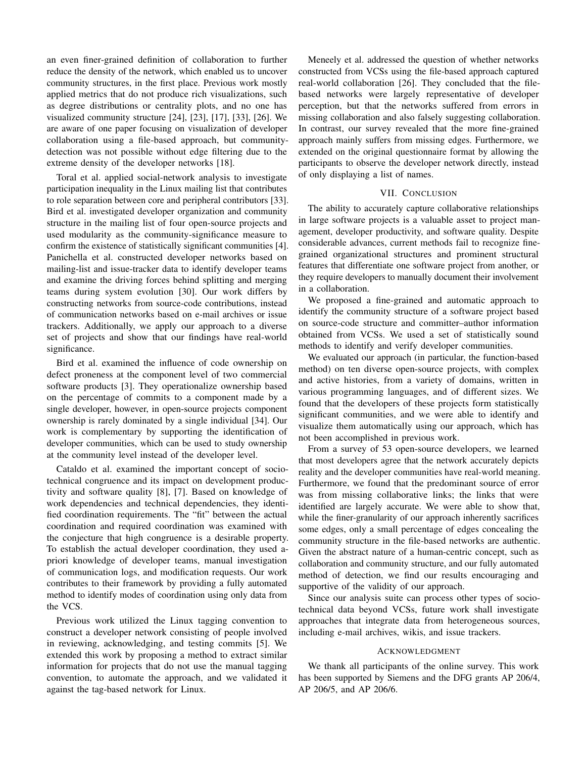an even finer-grained definition of collaboration to further reduce the density of the network, which enabled us to uncover community structures, in the first place. Previous work mostly applied metrics that do not produce rich visualizations, such as degree distributions or centrality plots, and no one has visualized community structure [24], [23], [17], [33], [26]. We are aware of one paper focusing on visualization of developer collaboration using a file-based approach, but communitydetection was not possible without edge filtering due to the extreme density of the developer networks [18].

Toral et al. applied social-network analysis to investigate participation inequality in the Linux mailing list that contributes to role separation between core and peripheral contributors [33]. Bird et al. investigated developer organization and community structure in the mailing list of four open-source projects and used modularity as the community-significance measure to confirm the existence of statistically significant communities [4]. Panichella et al. constructed developer networks based on mailing-list and issue-tracker data to identify developer teams and examine the driving forces behind splitting and merging teams during system evolution [30]. Our work differs by constructing networks from source-code contributions, instead of communication networks based on e-mail archives or issue trackers. Additionally, we apply our approach to a diverse set of projects and show that our findings have real-world significance.

Bird et al. examined the influence of code ownership on defect proneness at the component level of two commercial software products [3]. They operationalize ownership based on the percentage of commits to a component made by a single developer, however, in open-source projects component ownership is rarely dominated by a single individual [34]. Our work is complementary by supporting the identification of developer communities, which can be used to study ownership at the community level instead of the developer level.

Cataldo et al. examined the important concept of sociotechnical congruence and its impact on development productivity and software quality [8], [7]. Based on knowledge of work dependencies and technical dependencies, they identified coordination requirements. The "fit" between the actual coordination and required coordination was examined with the conjecture that high congruence is a desirable property. To establish the actual developer coordination, they used apriori knowledge of developer teams, manual investigation of communication logs, and modification requests. Our work contributes to their framework by providing a fully automated method to identify modes of coordination using only data from the VCS.

Previous work utilized the Linux tagging convention to construct a developer network consisting of people involved in reviewing, acknowledging, and testing commits [5]. We extended this work by proposing a method to extract similar information for projects that do not use the manual tagging convention, to automate the approach, and we validated it against the tag-based network for Linux.

Meneely et al. addressed the question of whether networks constructed from VCSs using the file-based approach captured real-world collaboration [26]. They concluded that the filebased networks were largely representative of developer perception, but that the networks suffered from errors in missing collaboration and also falsely suggesting collaboration. In contrast, our survey revealed that the more fine-grained approach mainly suffers from missing edges. Furthermore, we extended on the original questionnaire format by allowing the participants to observe the developer network directly, instead of only displaying a list of names.

#### VII. CONCLUSION

The ability to accurately capture collaborative relationships in large software projects is a valuable asset to project management, developer productivity, and software quality. Despite considerable advances, current methods fail to recognize finegrained organizational structures and prominent structural features that differentiate one software project from another, or they require developers to manually document their involvement in a collaboration.

We proposed a fine-grained and automatic approach to identify the community structure of a software project based on source-code structure and committer–author information obtained from VCSs. We used a set of statistically sound methods to identify and verify developer communities.

We evaluated our approach (in particular, the function-based method) on ten diverse open-source projects, with complex and active histories, from a variety of domains, written in various programming languages, and of different sizes. We found that the developers of these projects form statistically significant communities, and we were able to identify and visualize them automatically using our approach, which has not been accomplished in previous work.

From a survey of 53 open-source developers, we learned that most developers agree that the network accurately depicts reality and the developer communities have real-world meaning. Furthermore, we found that the predominant source of error was from missing collaborative links; the links that were identified are largely accurate. We were able to show that, while the finer-granularity of our approach inherently sacrifices some edges, only a small percentage of edges concealing the community structure in the file-based networks are authentic. Given the abstract nature of a human-centric concept, such as collaboration and community structure, and our fully automated method of detection, we find our results encouraging and supportive of the validity of our approach.

Since our analysis suite can process other types of sociotechnical data beyond VCSs, future work shall investigate approaches that integrate data from heterogeneous sources, including e-mail archives, wikis, and issue trackers.

#### ACKNOWLEDGMENT

We thank all participants of the online survey. This work has been supported by Siemens and the DFG grants AP 206/4, AP 206/5, and AP 206/6.